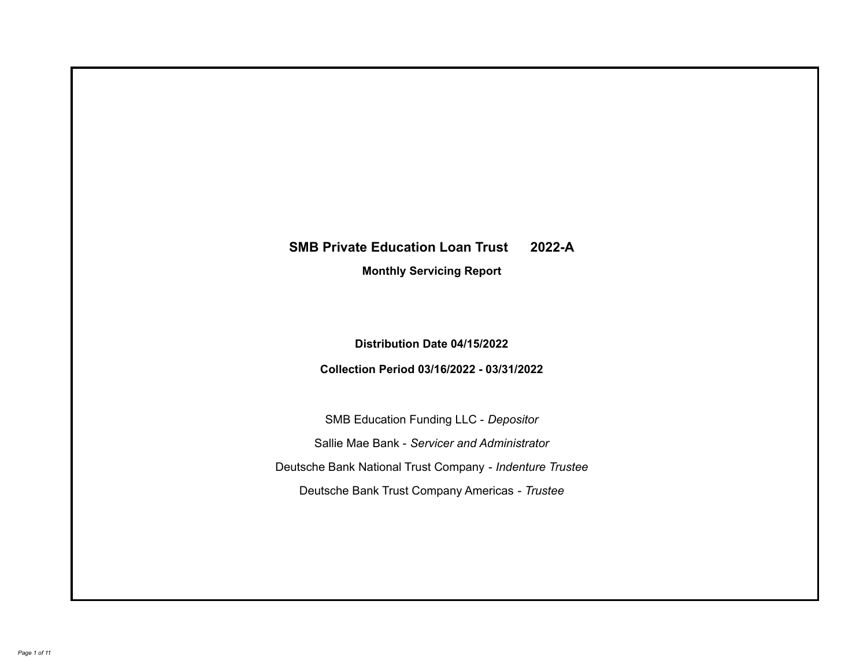# **SMB Private Education Loan Trust 2022-A**

**Monthly Servicing Report**

**Distribution Date 04/15/2022**

**Collection Period 03/16/2022 - 03/31/2022**

SMB Education Funding LLC - *Depositor* Sallie Mae Bank - *Servicer and Administrator* Deutsche Bank National Trust Company - *Indenture Trustee* Deutsche Bank Trust Company Americas - *Trustee*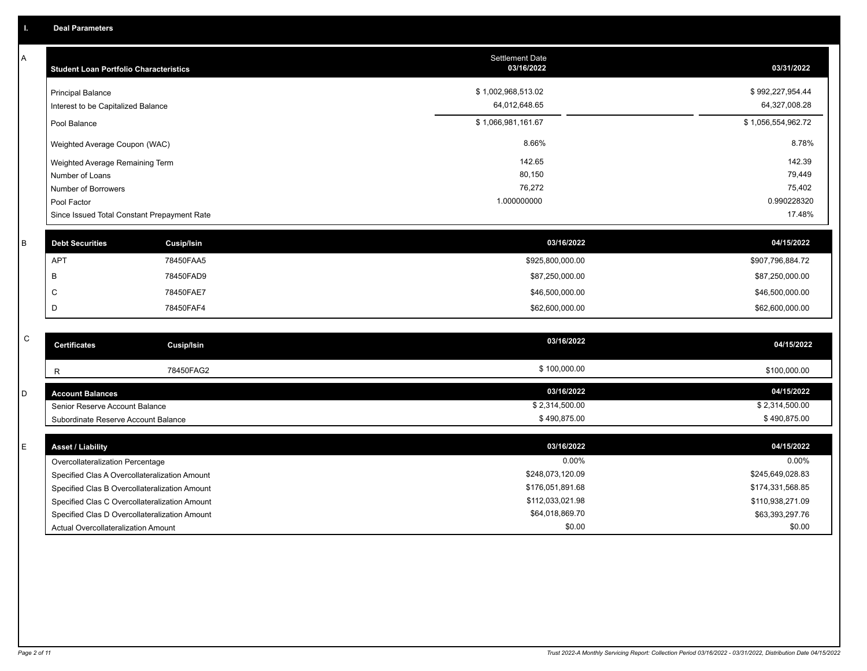A

| <b>Student Loan Portfolio Characteristics</b>                  | <b>Settlement Date</b><br>03/16/2022 | 03/31/2022                        |
|----------------------------------------------------------------|--------------------------------------|-----------------------------------|
| <b>Principal Balance</b><br>Interest to be Capitalized Balance | \$1,002,968,513.02<br>64,012,648.65  | \$992,227,954.44<br>64,327,008.28 |
| Pool Balance                                                   | \$1,066,981,161.67                   | \$1,056,554,962.72                |
| Weighted Average Coupon (WAC)                                  | 8.66%                                | 8.78%                             |
| Weighted Average Remaining Term                                | 142.65                               | 142.39                            |
| Number of Loans                                                | 80,150                               | 79,449                            |
| Number of Borrowers                                            | 76,272                               | 75,402                            |
| Pool Factor                                                    | 1.000000000                          | 0.990228320                       |
| Since Issued Total Constant Prepayment Rate                    |                                      | 17.48%                            |

| <b>Debt Securities</b> | Cusip/Isin | 03/16/2022       | 04/15/2022       |
|------------------------|------------|------------------|------------------|
| APT                    | 78450FAA5  | \$925,800,000.00 | \$907,796,884.72 |
|                        | 78450FAD9  | \$87,250,000.00  | \$87,250,000.00  |
|                        | 78450FAE7  | \$46,500,000.00  | \$46,500,000.00  |
|                        | 78450FAF4  | \$62,600,000.00  | \$62,600,000.00  |
|                        |            |                  |                  |

| C | <b>Certificates</b>                 | Cusip/Isin | 03/16/2022     | 04/15/2022     |
|---|-------------------------------------|------------|----------------|----------------|
|   |                                     | 78450FAG2  | \$100,000.00   | \$100,000.00   |
| D | <b>Account Balances</b>             |            | 03/16/2022     | 04/15/2022     |
|   | Senior Reserve Account Balance      |            | \$2,314,500.00 | \$2,314,500.00 |
|   | Subordinate Reserve Account Balance |            | \$490,875.00   | \$490,875.00   |

| <b>Asset / Liability</b>                      | 03/16/2022       | 04/15/2022       |
|-----------------------------------------------|------------------|------------------|
| Overcollateralization Percentage              | 0.00%            | $0.00\%$         |
| Specified Clas A Overcollateralization Amount | \$248,073,120.09 | \$245,649,028.83 |
| Specified Clas B Overcollateralization Amount | \$176,051,891.68 | \$174,331,568.85 |
| Specified Clas C Overcollateralization Amount | \$112,033,021.98 | \$110,938,271.09 |
| Specified Clas D Overcollateralization Amount | \$64.018.869.70  | \$63,393,297.76  |
| Actual Overcollateralization Amount           | \$0.00           | \$0.00           |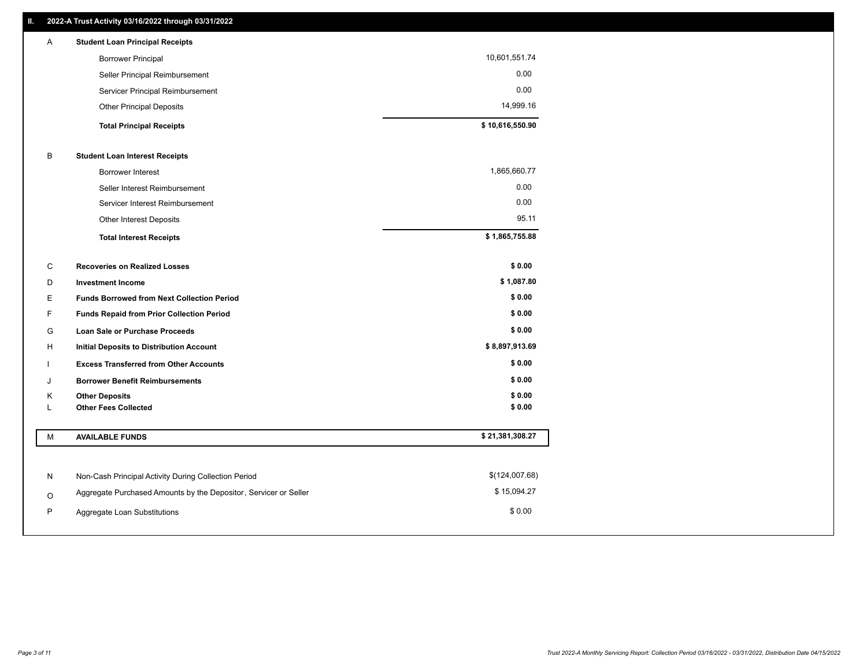| A | <b>Student Loan Principal Receipts</b> |                 |
|---|----------------------------------------|-----------------|
|   | <b>Borrower Principal</b>              | 10,601,551.74   |
|   | Seller Principal Reimbursement         | 0.00            |
|   | Servicer Principal Reimbursement       | 0.00            |
|   | <b>Other Principal Deposits</b>        | 14,999.16       |
|   | <b>Total Principal Receipts</b>        | \$10,616,550.90 |

# B **Student Loan Interest Receipts**

| <b>Total Interest Receipts</b>  | \$1,865,755.88 |
|---------------------------------|----------------|
| Other Interest Deposits         | 95.11          |
| Servicer Interest Reimbursement | 0.00           |
| Seller Interest Reimbursement   | 0.00           |
| Borrower Interest               | 1,865,660.77   |

| C | <b>Recoveries on Realized Losses</b>              | \$0.00         |
|---|---------------------------------------------------|----------------|
| D | <b>Investment Income</b>                          | \$1,087.80     |
| Е | <b>Funds Borrowed from Next Collection Period</b> | \$0.00         |
| F | <b>Funds Repaid from Prior Collection Period</b>  | \$0.00         |
| G | <b>Loan Sale or Purchase Proceeds</b>             | \$0.00         |
| H | Initial Deposits to Distribution Account          | \$8,897,913.69 |
|   | <b>Excess Transferred from Other Accounts</b>     | \$0.00         |
| J | <b>Borrower Benefit Reimbursements</b>            | \$0.00         |
| K | <b>Other Deposits</b>                             | \$0.00         |
|   | <b>Other Fees Collected</b>                       | \$0.00         |

| M | <b>AVAILABLE FUNDS</b>                                           | \$21,381,308.27 |
|---|------------------------------------------------------------------|-----------------|
|   |                                                                  |                 |
| N | Non-Cash Principal Activity During Collection Period             | \$(124,007.68)  |
| O | Aggregate Purchased Amounts by the Depositor, Servicer or Seller | \$15,094.27     |
| P | Aggregate Loan Substitutions                                     | \$0.00          |
|   |                                                                  |                 |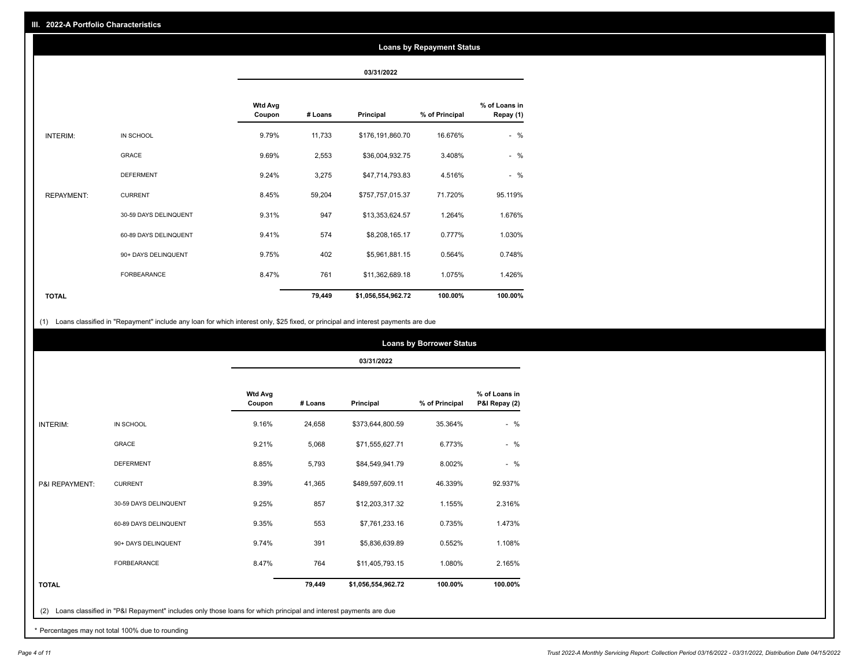### **Loans by Repayment Status**

**03/31/2022**

|                   |                       | <b>Wtd Avg</b><br>Coupon | # Loans | Principal          | % of Principal | % of Loans in<br>Repay (1) |
|-------------------|-----------------------|--------------------------|---------|--------------------|----------------|----------------------------|
| INTERIM:          | IN SCHOOL             | 9.79%                    | 11,733  | \$176,191,860.70   | 16.676%        | $-$ %                      |
|                   | <b>GRACE</b>          | 9.69%                    | 2,553   | \$36,004,932.75    | 3.408%         | $-$ %                      |
|                   | <b>DEFERMENT</b>      | 9.24%                    | 3,275   | \$47,714,793.83    | 4.516%         | $-$ %                      |
| <b>REPAYMENT:</b> | <b>CURRENT</b>        | 8.45%                    | 59,204  | \$757,757,015.37   | 71.720%        | 95.119%                    |
|                   | 30-59 DAYS DELINQUENT | 9.31%                    | 947     | \$13,353,624.57    | 1.264%         | 1.676%                     |
|                   | 60-89 DAYS DELINQUENT | 9.41%                    | 574     | \$8,208,165.17     | 0.777%         | 1.030%                     |
|                   | 90+ DAYS DELINQUENT   | 9.75%                    | 402     | \$5,961,881.15     | 0.564%         | 0.748%                     |
|                   | <b>FORBEARANCE</b>    | 8.47%                    | 761     | \$11,362,689.18    | 1.075%         | 1.426%                     |
| <b>TOTAL</b>      |                       |                          | 79,449  | \$1,056,554,962.72 | 100.00%        | 100.00%                    |

(1) Loans classified in "Repayment" include any loan for which interest only, \$25 fixed, or principal and interest payments are due

|                 |                       |                          | 03/31/2022 |                    |                |                                |  |  |
|-----------------|-----------------------|--------------------------|------------|--------------------|----------------|--------------------------------|--|--|
|                 |                       | <b>Wtd Avg</b><br>Coupon | # Loans    | Principal          | % of Principal | % of Loans in<br>P&I Repay (2) |  |  |
| <b>INTERIM:</b> | IN SCHOOL             | 9.16%                    | 24,658     | \$373,644,800.59   | 35.364%        | $-$ %                          |  |  |
|                 | <b>GRACE</b>          | 9.21%                    | 5,068      | \$71,555,627.71    | 6.773%         | $-$ %                          |  |  |
|                 | <b>DEFERMENT</b>      | 8.85%                    | 5,793      | \$84,549,941.79    | 8.002%         | $-$ %                          |  |  |
| P&I REPAYMENT:  | <b>CURRENT</b>        | 8.39%                    | 41,365     | \$489,597,609.11   | 46.339%        | 92.937%                        |  |  |
|                 | 30-59 DAYS DELINQUENT | 9.25%                    | 857        | \$12,203,317.32    | 1.155%         | 2.316%                         |  |  |
|                 | 60-89 DAYS DELINQUENT | 9.35%                    | 553        | \$7,761,233.16     | 0.735%         | 1.473%                         |  |  |
|                 | 90+ DAYS DELINQUENT   | 9.74%                    | 391        | \$5,836,639.89     | 0.552%         | 1.108%                         |  |  |
|                 | <b>FORBEARANCE</b>    | 8.47%                    | 764        | \$11,405,793.15    | 1.080%         | 2.165%                         |  |  |
| <b>TOTAL</b>    |                       |                          | 79,449     | \$1,056,554,962.72 | 100.00%        | 100.00%                        |  |  |

\* Percentages may not total 100% due to rounding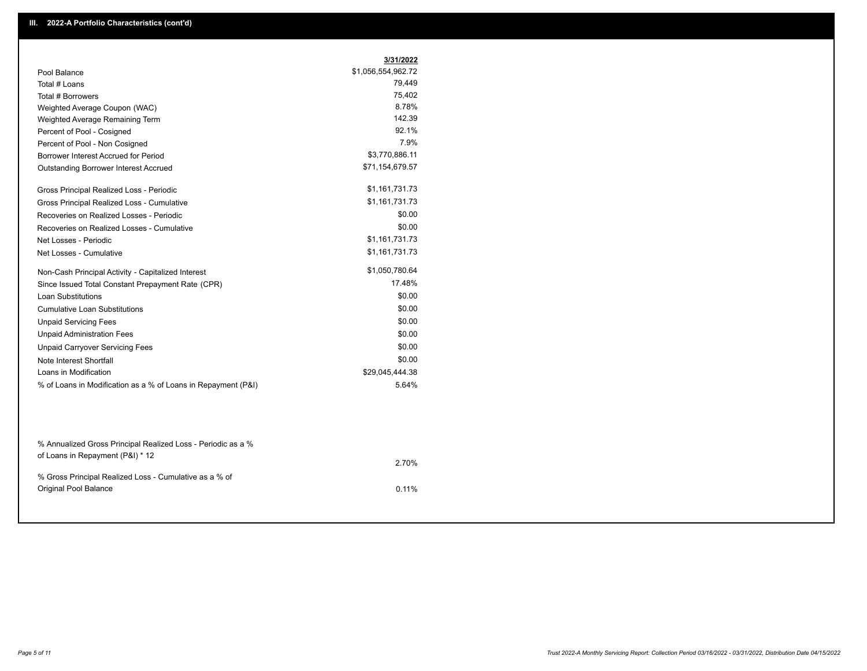|                                                    | 3/31/2022          |
|----------------------------------------------------|--------------------|
| Pool Balance                                       | \$1,056,554,962.72 |
| Total # Loans                                      | 79,449             |
| Total # Borrowers                                  | 75,402             |
| Weighted Average Coupon (WAC)                      | 8.78%              |
| Weighted Average Remaining Term                    | 142.39             |
| Percent of Pool - Cosigned                         | 92.1%              |
| Percent of Pool - Non Cosigned                     | 7.9%               |
| Borrower Interest Accrued for Period               | \$3,770,886.11     |
| Outstanding Borrower Interest Accrued              | \$71,154,679.57    |
| Gross Principal Realized Loss - Periodic           | \$1,161,731.73     |
| Gross Principal Realized Loss - Cumulative         | \$1,161,731.73     |
| Recoveries on Realized Losses - Periodic           | \$0.00             |
| Recoveries on Realized Losses - Cumulative         | \$0.00             |
| Net Losses - Periodic                              | \$1,161,731.73     |
| Net Losses - Cumulative                            | \$1,161,731.73     |
| Non-Cash Principal Activity - Capitalized Interest | \$1,050,780.64     |
| Since Issued Total Constant Prepayment Rate (CPR)  | 17.48%             |
| <b>Loan Substitutions</b>                          | \$0.00             |
| <b>Cumulative Loan Substitutions</b>               | \$0.00             |
| <b>Unpaid Servicing Fees</b>                       | \$0.00             |
| <b>Unpaid Administration Fees</b>                  | \$0.00             |
| <b>Unpaid Carryover Servicing Fees</b>             | \$0.00             |
| Note Interest Shortfall                            | \$0.00             |
| Loans in Modification                              | \$29,045,444.38    |
|                                                    | 5.64%              |

| 2.70%    |
|----------|
|          |
| $0.11\%$ |
|          |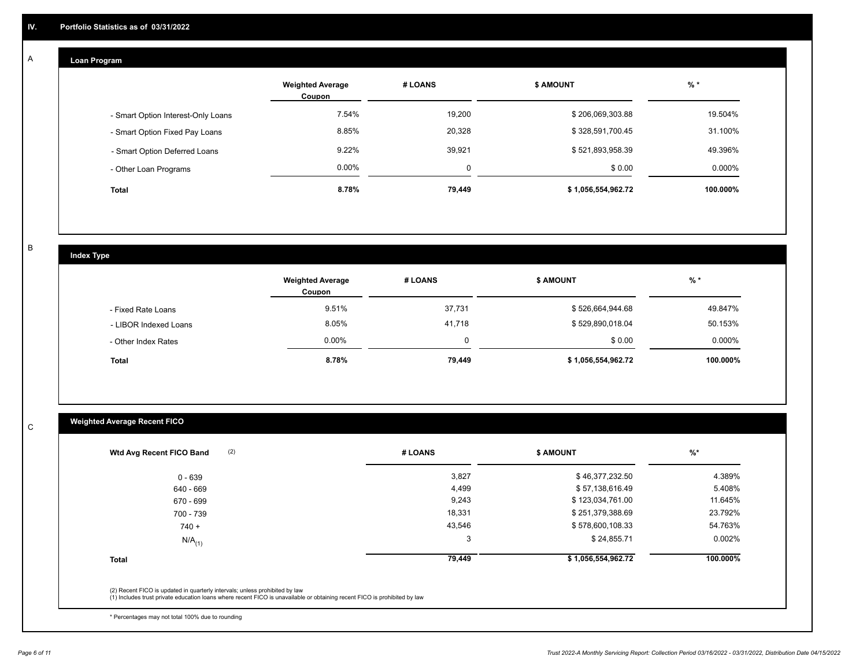## **Loan Program**

A

|                                    | <b>Weighted Average</b><br>Coupon | # LOANS | <b>\$ AMOUNT</b>   | $%$ *     |
|------------------------------------|-----------------------------------|---------|--------------------|-----------|
| - Smart Option Interest-Only Loans | 7.54%                             | 19,200  | \$206,069,303.88   | 19.504%   |
| - Smart Option Fixed Pay Loans     | 8.85%                             | 20,328  | \$328,591,700.45   | 31.100%   |
| - Smart Option Deferred Loans      | $9.22\%$                          | 39,921  | \$521,893,958.39   | 49.396%   |
| - Other Loan Programs              | $0.00\%$                          | 0       | \$0.00             | $0.000\%$ |
| <b>Total</b>                       | 8.78%                             | 79,449  | \$1,056,554,962.72 | 100.000%  |

B

C

# **Index Type**

|                       | <b>Weighted Average</b><br>Coupon | # LOANS | <b>\$ AMOUNT</b>   | % *       |
|-----------------------|-----------------------------------|---------|--------------------|-----------|
| - Fixed Rate Loans    | 9.51%                             | 37,731  | \$526,664,944.68   | 49.847%   |
| - LIBOR Indexed Loans | 8.05%                             | 41,718  | \$529,890,018.04   | 50.153%   |
| - Other Index Rates   | 0.00%                             |         | \$0.00             | $0.000\%$ |
| <b>Total</b>          | 8.78%                             | 79,449  | \$1,056,554,962.72 | 100.000%  |

# **Weighted Average Recent FICO**

| 3,827                                                                                                                     | \$46,377,232.50    |          |
|---------------------------------------------------------------------------------------------------------------------------|--------------------|----------|
|                                                                                                                           |                    | 4.389%   |
| 4,499                                                                                                                     | \$57,138,616.49    | 5.408%   |
| 9,243                                                                                                                     | \$123,034,761.00   | 11.645%  |
| 18,331                                                                                                                    | \$251,379,388.69   | 23.792%  |
| 43,546                                                                                                                    | \$578,600,108.33   | 54.763%  |
| 3                                                                                                                         | \$24,855.71        | 0.002%   |
| 79,449                                                                                                                    | \$1,056,554,962.72 | 100.000% |
|                                                                                                                           |                    |          |
| (1) Includes trust private education loans where recent FICO is unavailable or obtaining recent FICO is prohibited by law |                    |          |

\* Percentages may not total 100% due to rounding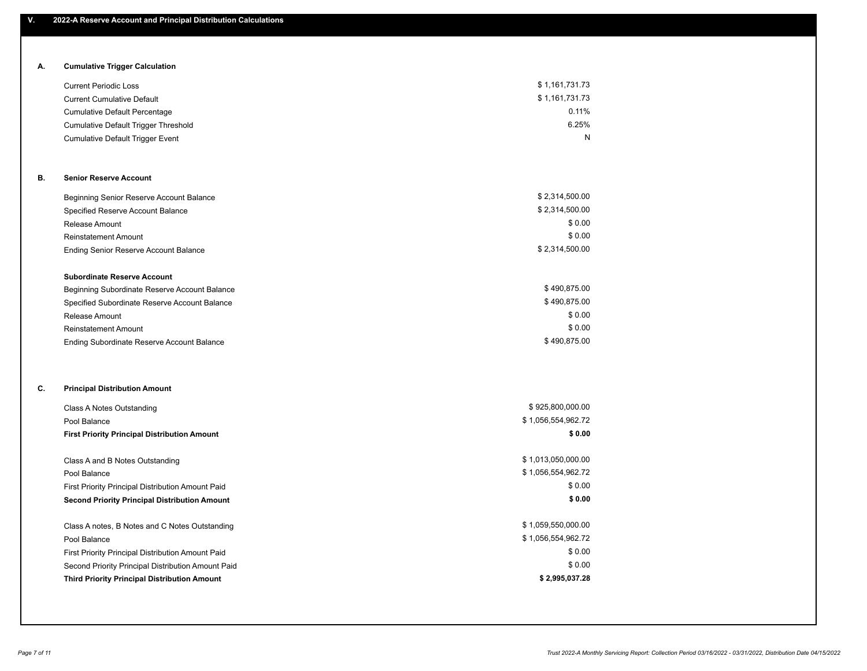# **A. Cumulative Trigger Calculation**

| <b>Current Periodic Loss</b>            | \$1,161,731.73 |
|-----------------------------------------|----------------|
| <b>Current Cumulative Default</b>       | \$1,161,731.73 |
| Cumulative Default Percentage           | $0.11\%$       |
| Cumulative Default Trigger Threshold    | 6.25%          |
| <b>Cumulative Default Trigger Event</b> | N              |

# **B. Senior Reserve Account**

| Beginning Senior Reserve Account Balance      | \$2,314,500.00 |
|-----------------------------------------------|----------------|
| Specified Reserve Account Balance             | \$2,314,500.00 |
| Release Amount                                | \$0.00         |
| <b>Reinstatement Amount</b>                   | \$0.00         |
| <b>Ending Senior Reserve Account Balance</b>  | \$2,314,500.00 |
|                                               |                |
| <b>Subordinate Reserve Account</b>            |                |
| Beginning Subordinate Reserve Account Balance | \$490.875.00   |

| $50.911111119$ $50.8001$ antare $1.00001$ to $1.0000$ anti-barramed |              |
|---------------------------------------------------------------------|--------------|
| Specified Subordinate Reserve Account Balance                       | \$490.875.00 |
| Release Amount                                                      | \$0.00       |
| <b>Reinstatement Amount</b>                                         | \$0.00       |
| Ending Subordinate Reserve Account Balance                          | \$490.875.00 |

# **C. Principal Distribution Amount**

| Class A Notes Outstanding                            | \$925,800,000.00   |
|------------------------------------------------------|--------------------|
| Pool Balance                                         | \$1,056,554,962.72 |
| <b>First Priority Principal Distribution Amount</b>  | \$0.00             |
|                                                      |                    |
| Class A and B Notes Outstanding                      | \$1,013,050,000.00 |
| Pool Balance                                         | \$1,056,554,962.72 |
| First Priority Principal Distribution Amount Paid    | \$0.00             |
| <b>Second Priority Principal Distribution Amount</b> | \$0.00             |
| Class A notes, B Notes and C Notes Outstanding       | \$1,059,550,000.00 |
| Pool Balance                                         | \$1,056,554,962.72 |
| First Priority Principal Distribution Amount Paid    | \$0.00             |
| Second Priority Principal Distribution Amount Paid   | \$0.00             |
|                                                      |                    |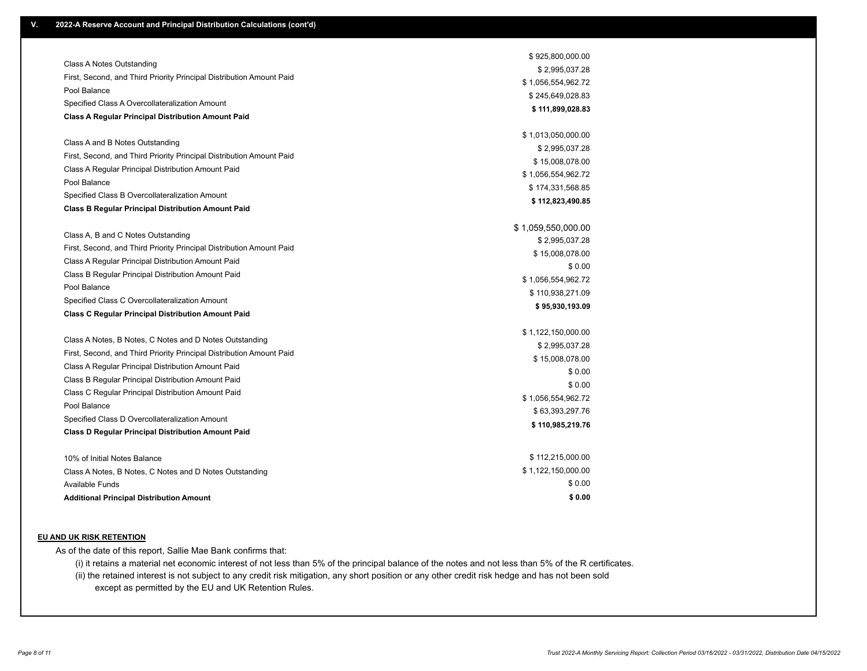|                                                                      | \$925,800,000.00   |
|----------------------------------------------------------------------|--------------------|
| Class A Notes Outstanding                                            | \$2,995,037.28     |
| First, Second, and Third Priority Principal Distribution Amount Paid | \$1,056,554,962.72 |
| Pool Balance                                                         | \$245,649,028.83   |
| Specified Class A Overcollateralization Amount                       | \$111,899,028.83   |
| <b>Class A Regular Principal Distribution Amount Paid</b>            |                    |
|                                                                      | \$1,013,050,000.00 |
| Class A and B Notes Outstanding                                      | \$2,995,037.28     |
| First, Second, and Third Priority Principal Distribution Amount Paid | \$15,008,078.00    |
| Class A Regular Principal Distribution Amount Paid                   | \$1,056,554,962.72 |
| Pool Balance                                                         | \$174,331,568.85   |
| Specified Class B Overcollateralization Amount                       | \$112,823,490.85   |
| <b>Class B Regular Principal Distribution Amount Paid</b>            |                    |
|                                                                      | \$1,059,550,000.00 |
| Class A, B and C Notes Outstanding                                   | \$2,995,037.28     |
| First, Second, and Third Priority Principal Distribution Amount Paid | \$15,008,078.00    |
| Class A Regular Principal Distribution Amount Paid                   | \$0.00             |
| Class B Regular Principal Distribution Amount Paid                   | \$1,056,554,962.72 |
| Pool Balance                                                         | \$110,938,271.09   |
| Specified Class C Overcollateralization Amount                       | \$95,930,193.09    |
| <b>Class C Regular Principal Distribution Amount Paid</b>            |                    |
|                                                                      | \$1,122,150,000.00 |
| Class A Notes, B Notes, C Notes and D Notes Outstanding              | \$2,995,037.28     |
| First, Second, and Third Priority Principal Distribution Amount Paid | \$15,008,078.00    |
| Class A Regular Principal Distribution Amount Paid                   | \$0.00             |
| Class B Regular Principal Distribution Amount Paid                   | \$0.00             |
| Class C Regular Principal Distribution Amount Paid                   | \$1,056,554,962.72 |
| Pool Balance                                                         | \$63,393,297.76    |
| Specified Class D Overcollateralization Amount                       | \$110,985,219.76   |
| <b>Class D Regular Principal Distribution Amount Paid</b>            |                    |
| 10% of Initial Notes Balance                                         | \$112,215,000.00   |
| Class A Notes, B Notes, C Notes and D Notes Outstanding              | \$1,122,150,000.00 |
| <b>Available Funds</b>                                               | \$0.00             |
| <b>Additional Principal Distribution Amount</b>                      | \$0.00             |

### **EU AND UK RISK RETENTION**

As of the date of this report, Sallie Mae Bank confirms that:

(i) it retains a material net economic interest of not less than 5% of the principal balance of the notes and not less than 5% of the R certificates.

(ii) the retained interest is not subject to any credit risk mitigation, any short position or any other credit risk hedge and has not been sold except as permitted by the EU and UK Retention Rules.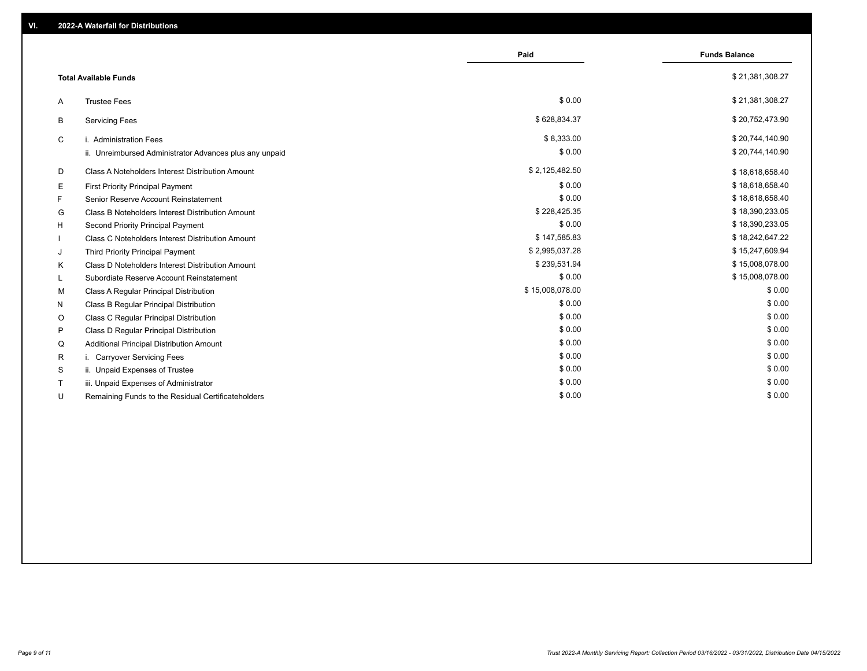|         |                                                         | Paid            | <b>Funds Balance</b> |
|---------|---------------------------------------------------------|-----------------|----------------------|
|         | <b>Total Available Funds</b>                            |                 | \$21,381,308.27      |
| Α       | <b>Trustee Fees</b>                                     | \$0.00          | \$21,381,308.27      |
| B       | <b>Servicing Fees</b>                                   | \$628,834.37    | \$20,752,473.90      |
| C       | i. Administration Fees                                  | \$8,333.00      | \$20,744,140.90      |
|         | ii. Unreimbursed Administrator Advances plus any unpaid | \$0.00          | \$20,744,140.90      |
| D       | Class A Noteholders Interest Distribution Amount        | \$2,125,482.50  | \$18,618,658.40      |
| Е       | <b>First Priority Principal Payment</b>                 | \$0.00          | \$18,618,658.40      |
| F.      | Senior Reserve Account Reinstatement                    | \$0.00          | \$18,618,658.40      |
| G       | Class B Noteholders Interest Distribution Amount        | \$228,425.35    | \$18,390,233.05      |
| H       | Second Priority Principal Payment                       | \$0.00          | \$18,390,233.05      |
|         | Class C Noteholders Interest Distribution Amount        | \$147,585.83    | \$18,242,647.22      |
| J       | Third Priority Principal Payment                        | \$2,995,037.28  | \$15,247,609.94      |
| K       | Class D Noteholders Interest Distribution Amount        | \$239,531.94    | \$15,008,078.00      |
| L.      | Subordiate Reserve Account Reinstatement                | \$0.00          | \$15,008,078.00      |
| м       | Class A Regular Principal Distribution                  | \$15,008,078.00 | \$0.00               |
| N       | Class B Regular Principal Distribution                  | \$0.00          | \$0.00               |
| $\circ$ | Class C Regular Principal Distribution                  | \$0.00          | \$0.00               |
| P       | Class D Regular Principal Distribution                  | \$0.00          | \$0.00               |
| Q       | Additional Principal Distribution Amount                | \$0.00          | \$0.00               |
| R       | i. Carryover Servicing Fees                             | \$0.00          | \$0.00               |
| S       | ii. Unpaid Expenses of Trustee                          | \$0.00          | \$0.00               |
|         | iii. Unpaid Expenses of Administrator                   | \$0.00          | \$0.00               |
| U       | Remaining Funds to the Residual Certificateholders      | \$0.00          | \$0.00               |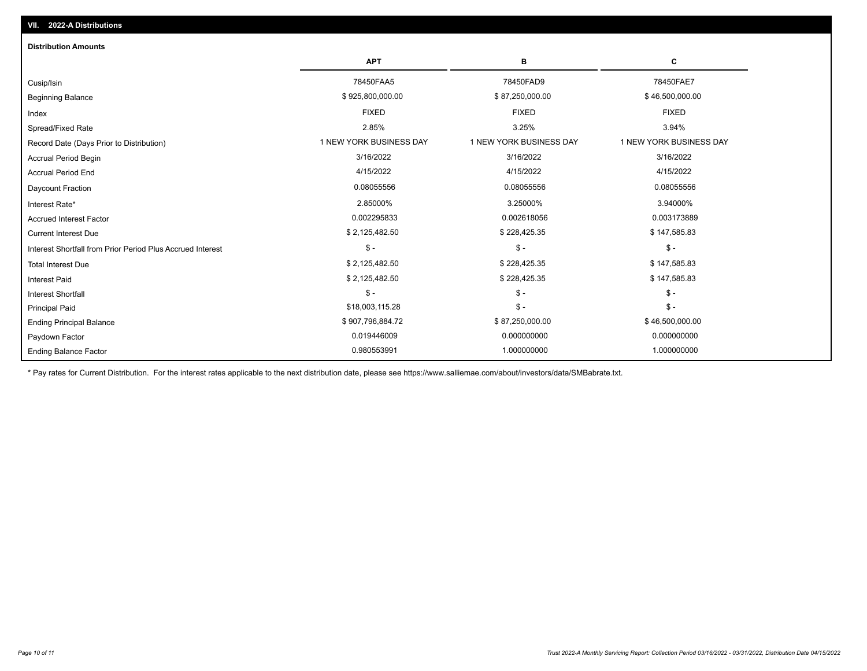| <b>Distribution Amounts</b>                                |                         |                         |                         |
|------------------------------------------------------------|-------------------------|-------------------------|-------------------------|
|                                                            | <b>APT</b>              | в                       | c                       |
| Cusip/Isin                                                 | 78450FAA5               | 78450FAD9               | 78450FAE7               |
| <b>Beginning Balance</b>                                   | \$925,800,000.00        | \$87,250,000.00         | \$46,500,000.00         |
| Index                                                      | <b>FIXED</b>            | <b>FIXED</b>            | <b>FIXED</b>            |
| Spread/Fixed Rate                                          | 2.85%                   | 3.25%                   | 3.94%                   |
| Record Date (Days Prior to Distribution)                   | 1 NEW YORK BUSINESS DAY | 1 NEW YORK BUSINESS DAY | 1 NEW YORK BUSINESS DAY |
| <b>Accrual Period Begin</b>                                | 3/16/2022               | 3/16/2022               | 3/16/2022               |
| <b>Accrual Period End</b>                                  | 4/15/2022               | 4/15/2022               | 4/15/2022               |
| Daycount Fraction                                          | 0.08055556              | 0.08055556              | 0.08055556              |
| Interest Rate*                                             | 2.85000%                | 3.25000%                | 3.94000%                |
| <b>Accrued Interest Factor</b>                             | 0.002295833             | 0.002618056             | 0.003173889             |
| <b>Current Interest Due</b>                                | \$2,125,482.50          | \$228,425.35            | \$147,585.83            |
| Interest Shortfall from Prior Period Plus Accrued Interest | $$ -$                   | $\mathsf{\$}$ -         | $\mathcal{S}$ -         |
| <b>Total Interest Due</b>                                  | \$2,125,482.50          | \$228,425.35            | \$147,585.83            |
| <b>Interest Paid</b>                                       | \$2,125,482.50          | \$228,425.35            | \$147,585.83            |
| <b>Interest Shortfall</b>                                  | $$ -$                   | $\mathsf{\$}$ -         | $$ -$                   |
| <b>Principal Paid</b>                                      | \$18,003,115.28         | $$ -$                   | $\mathsf{\$}$ -         |
| <b>Ending Principal Balance</b>                            | \$907,796,884.72        | \$87,250,000.00         | \$46,500,000.00         |
| Paydown Factor                                             | 0.019446009             | 0.000000000             | 0.000000000             |
| <b>Ending Balance Factor</b>                               | 0.980553991             | 1.000000000             | 1.000000000             |

\* Pay rates for Current Distribution. For the interest rates applicable to the next distribution date, please see https://www.salliemae.com/about/investors/data/SMBabrate.txt.

**VII. 2022-A Distributions**